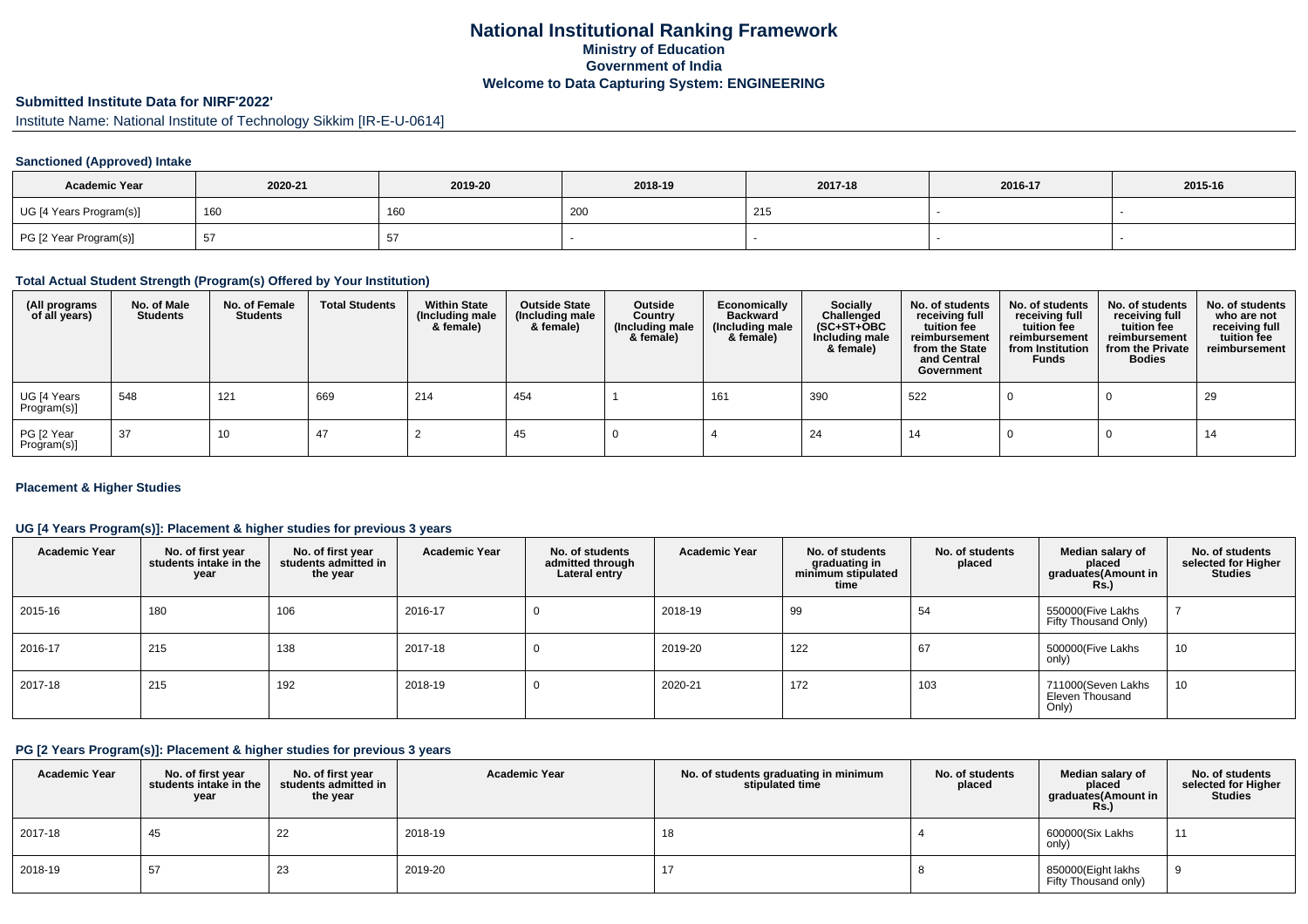# **National Institutional Ranking FrameworkMinistry of Education Government of IndiaWelcome to Data Capturing System: ENGINEERING**

# **Submitted Institute Data for NIRF'2022'**

Institute Name: National Institute of Technology Sikkim [IR-E-U-0614]

## **Sanctioned (Approved) Intake**

| <b>Academic Year</b>    | 2020-21 | 2019-20 | 2018-19 | 2017-18 | 2016-17 | 2015-16 |
|-------------------------|---------|---------|---------|---------|---------|---------|
| UG [4 Years Program(s)] | 160     | 160     | 200     | 215     |         |         |
| PG [2 Year Program(s)]  | 51      |         |         |         |         |         |

#### **Total Actual Student Strength (Program(s) Offered by Your Institution)**

| (All programs<br>of all years) | No. of Male<br><b>Students</b> | No. of Female<br><b>Students</b> | <b>Total Students</b> | <b>Within State</b><br>(Including male<br>& female) | <b>Outside State</b><br>(Including male<br>& female) | Outside<br>Country<br>(Including male<br>& female) | Economically<br><b>Backward</b><br>(Including male<br>& female) | Socially<br>Challenged<br>$(SC+ST+OBC)$<br>Including male<br>& female) | No. of students<br>receiving full<br>tuition fee<br>reimbursement<br>from the State<br>and Central<br>Government | No. of students<br>receiving full<br>tuition fee<br>reimbursement<br>from Institution<br><b>Funds</b> | No. of students<br>receiving full<br>tuition fee<br>reimbursement<br>from the Private<br><b>Bodies</b> | No. of students<br>who are not<br>receiving full<br>tuition fee<br>reimbursement |
|--------------------------------|--------------------------------|----------------------------------|-----------------------|-----------------------------------------------------|------------------------------------------------------|----------------------------------------------------|-----------------------------------------------------------------|------------------------------------------------------------------------|------------------------------------------------------------------------------------------------------------------|-------------------------------------------------------------------------------------------------------|--------------------------------------------------------------------------------------------------------|----------------------------------------------------------------------------------|
| UG [4 Years<br>Program(s)]     | 548                            | 121                              | 669                   | 214                                                 | 454                                                  |                                                    | 161                                                             | 390                                                                    | 522                                                                                                              |                                                                                                       |                                                                                                        | 29                                                                               |
| PG [2 Year<br>Program(s)]      | 37                             | 10                               | 47                    |                                                     | -45                                                  |                                                    |                                                                 | 24                                                                     | -14                                                                                                              |                                                                                                       |                                                                                                        | 14                                                                               |

### **Placement & Higher Studies**

### **UG [4 Years Program(s)]: Placement & higher studies for previous 3 years**

| <b>Academic Year</b> | No. of first year<br>students intake in the<br>year | No. of first vear<br>students admitted in<br>the year | <b>Academic Year</b> | No. of students<br>admitted through<br>Lateral entry | <b>Academic Year</b> | No. of students<br>graduating in<br>minimum stipulated<br>time | No. of students<br>placed | Median salary of<br>placed<br>graduates(Amount in<br><b>Rs.)</b> | No. of students<br>selected for Higher<br><b>Studies</b> |
|----------------------|-----------------------------------------------------|-------------------------------------------------------|----------------------|------------------------------------------------------|----------------------|----------------------------------------------------------------|---------------------------|------------------------------------------------------------------|----------------------------------------------------------|
| 2015-16              | 180                                                 | 106                                                   | 2016-17              |                                                      | 2018-19              | 99                                                             | 54                        | 550000(Five Lakhs<br>Fifty Thousand Only)                        |                                                          |
| 2016-17              | 215                                                 | 138                                                   | 2017-18              |                                                      | 2019-20              | 122                                                            | 67                        | 500000(Five Lakhs<br>only)                                       | 10                                                       |
| 2017-18              | 215                                                 | 192                                                   | 2018-19              | U                                                    | 2020-21              | 172                                                            | 103                       | 711000(Seven Lakhs<br>Eleven Thousand<br>Only)                   | 10                                                       |

#### **PG [2 Years Program(s)]: Placement & higher studies for previous 3 years**

| <b>Academic Year</b> | No. of first year<br>students intake in the<br>year | No. of first vear<br>students admitted in<br>the year | <b>Academic Year</b> | No. of students graduating in minimum<br>stipulated time | No. of students<br>placed | Median salary of<br>placed<br>graduates(Amount in<br><b>Rs.)</b> | No. of students<br>selected for Higher<br><b>Studies</b> |
|----------------------|-----------------------------------------------------|-------------------------------------------------------|----------------------|----------------------------------------------------------|---------------------------|------------------------------------------------------------------|----------------------------------------------------------|
| 2017-18              | 45                                                  | 22                                                    | 2018-19              | 18                                                       |                           | 600000(Six Lakhs<br>only)                                        | 11                                                       |
| 2018-19              | 57                                                  | 23                                                    | 2019-20              | 17                                                       |                           | 850000(Eight lakhs<br>Fifty Thousand only)                       |                                                          |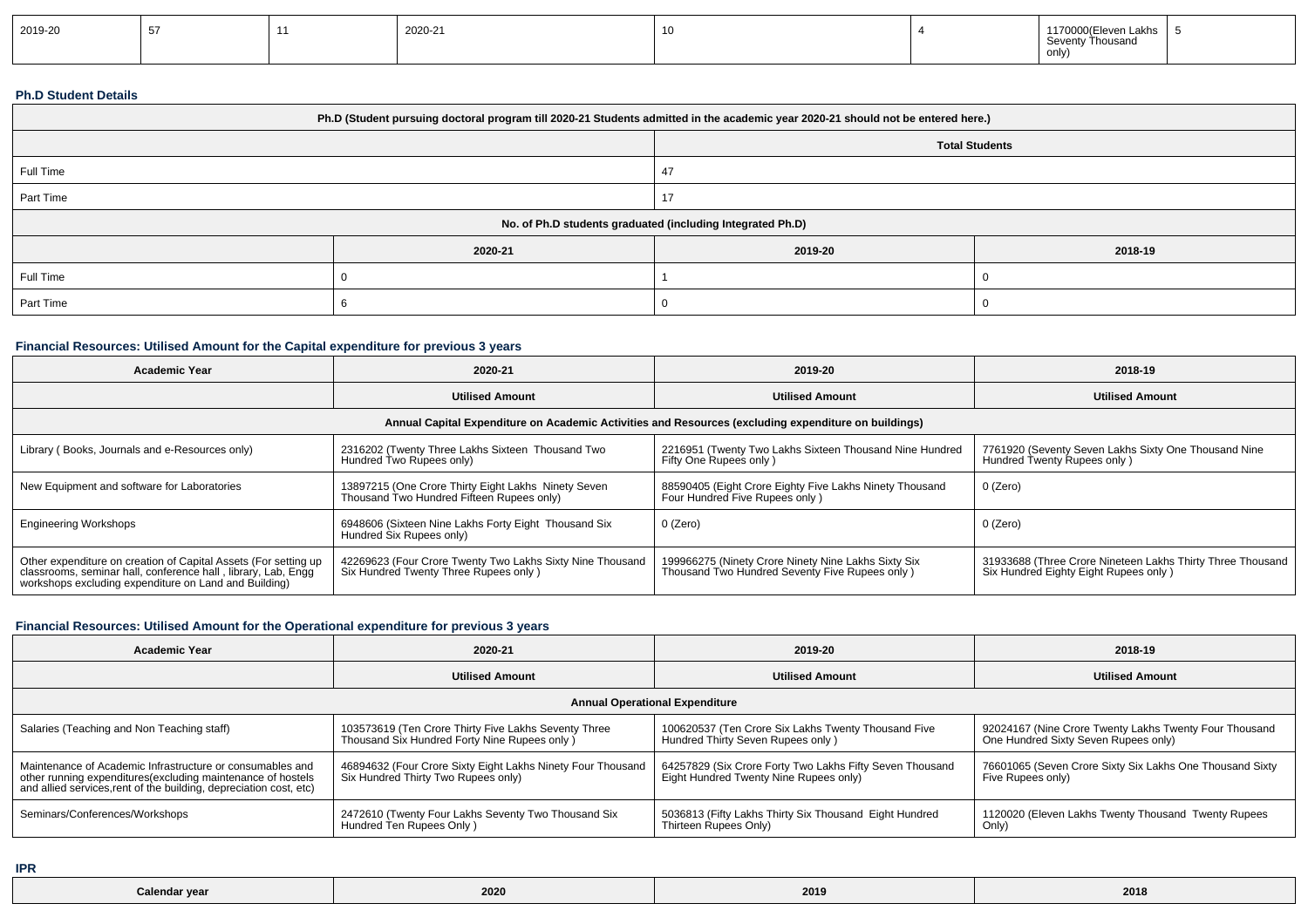| 2019-20 |  |  | 2020-21 | -11 |  | 1170000(Eleven Lakhs<br>Thousano<br><b>Covent</b><br>only) |  |
|---------|--|--|---------|-----|--|------------------------------------------------------------|--|
|---------|--|--|---------|-----|--|------------------------------------------------------------|--|

#### **Ph.D Student Details**

| Ph.D (Student pursuing doctoral program till 2020-21 Students admitted in the academic year 2020-21 should not be entered here.) |                                                            |         |         |  |  |  |
|----------------------------------------------------------------------------------------------------------------------------------|------------------------------------------------------------|---------|---------|--|--|--|
|                                                                                                                                  | <b>Total Students</b>                                      |         |         |  |  |  |
| Full Time                                                                                                                        |                                                            | 47      |         |  |  |  |
| Part Time                                                                                                                        |                                                            |         |         |  |  |  |
|                                                                                                                                  | No. of Ph.D students graduated (including Integrated Ph.D) |         |         |  |  |  |
|                                                                                                                                  | 2020-21                                                    | 2019-20 | 2018-19 |  |  |  |
| Full Time                                                                                                                        |                                                            |         |         |  |  |  |
| Part Time                                                                                                                        |                                                            |         |         |  |  |  |

## **Financial Resources: Utilised Amount for the Capital expenditure for previous 3 years**

| <b>Academic Year</b>                                                                                                                                                                      | 2020-21                                                                                             | 2019-20                                                                                               | 2018-19                                                                                             |  |  |  |  |  |
|-------------------------------------------------------------------------------------------------------------------------------------------------------------------------------------------|-----------------------------------------------------------------------------------------------------|-------------------------------------------------------------------------------------------------------|-----------------------------------------------------------------------------------------------------|--|--|--|--|--|
|                                                                                                                                                                                           | <b>Utilised Amount</b>                                                                              | <b>Utilised Amount</b>                                                                                | <b>Utilised Amount</b>                                                                              |  |  |  |  |  |
| Annual Capital Expenditure on Academic Activities and Resources (excluding expenditure on buildings)                                                                                      |                                                                                                     |                                                                                                       |                                                                                                     |  |  |  |  |  |
| Library (Books, Journals and e-Resources only)                                                                                                                                            | 2316202 (Twenty Three Lakhs Sixteen Thousand Two<br>Hundred Two Rupees only)                        | 2216951 (Twenty Two Lakhs Sixteen Thousand Nine Hundred<br>Fifty One Rupees only)                     | 7761920 (Seventy Seven Lakhs Sixty One Thousand Nine<br>Hundred Twenty Rupees only)                 |  |  |  |  |  |
| New Equipment and software for Laboratories                                                                                                                                               | 13897215 (One Crore Thirty Eight Lakhs Ninety Seven<br>Thousand Two Hundred Fifteen Rupees only)    | 88590405 (Eight Crore Eighty Five Lakhs Ninety Thousand<br>Four Hundred Five Rupees only)             | $0$ (Zero)                                                                                          |  |  |  |  |  |
| <b>Engineering Workshops</b>                                                                                                                                                              | 6948606 (Sixteen Nine Lakhs Forty Eight Thousand Six<br>Hundred Six Rupees only)                    | 0 (Zero)                                                                                              | $0$ (Zero)                                                                                          |  |  |  |  |  |
| Other expenditure on creation of Capital Assets (For setting up<br>classrooms, seminar hall, conference hall, library, Lab, Engg<br>workshops excluding expenditure on Land and Building) | 42269623 (Four Crore Twenty Two Lakhs Sixty Nine Thousand<br>Six Hundred Twenty Three Rupees only ) | 199966275 (Ninety Crore Ninety Nine Lakhs Sixty Six<br>Thousand Two Hundred Seventy Five Rupees only) | 31933688 (Three Crore Nineteen Lakhs Thirty Three Thousand<br>Six Hundred Eighty Eight Rupees only) |  |  |  |  |  |

## **Financial Resources: Utilised Amount for the Operational expenditure for previous 3 years**

| <b>Academic Year</b>                                                                                                              | 2020-21                                                     | 2019-20                                                  | 2018-19                                                  |  |  |  |  |  |
|-----------------------------------------------------------------------------------------------------------------------------------|-------------------------------------------------------------|----------------------------------------------------------|----------------------------------------------------------|--|--|--|--|--|
|                                                                                                                                   | <b>Utilised Amount</b>                                      | <b>Utilised Amount</b>                                   | <b>Utilised Amount</b>                                   |  |  |  |  |  |
| <b>Annual Operational Expenditure</b>                                                                                             |                                                             |                                                          |                                                          |  |  |  |  |  |
| Salaries (Teaching and Non Teaching staff)                                                                                        | 103573619 (Ten Crore Thirty Five Lakhs Seventy Three        | 100620537 (Ten Crore Six Lakhs Twenty Thousand Five      | 92024167 (Nine Crore Twenty Lakhs Twenty Four Thousand   |  |  |  |  |  |
|                                                                                                                                   | Thousand Six Hundred Forty Nine Rupees only )               | Hundred Thirty Seven Rupees only)                        | One Hundred Sixty Seven Rupees only)                     |  |  |  |  |  |
| Maintenance of Academic Infrastructure or consumables and                                                                         | 46894632 (Four Crore Sixty Eight Lakhs Ninety Four Thousand | 64257829 (Six Crore Forty Two Lakhs Fifty Seven Thousand | 76601065 (Seven Crore Sixty Six Lakhs One Thousand Sixty |  |  |  |  |  |
| other running expenditures(excluding maintenance of hostels<br>and allied services, rent of the building, depreciation cost, etc) | Six Hundred Thirty Two Rupees only)                         | Eight Hundred Twenty Nine Rupees only)                   | Five Rupees only)                                        |  |  |  |  |  |
| Seminars/Conferences/Workshops                                                                                                    | 2472610 (Twenty Four Lakhs Seventy Two Thousand Six         | 5036813 (Fifty Lakhs Thirty Six Thousand Eight Hundred   | 1120020 (Eleven Lakhs Twenty Thousand Twenty Rupees      |  |  |  |  |  |
|                                                                                                                                   | Hundred Ten Rupees Only)                                    | Thirteen Rupees Only)                                    | Only)                                                    |  |  |  |  |  |

**IPR**

| Calendar year | ---<br><b>2020</b> | 2019 | 2018 |
|---------------|--------------------|------|------|
|---------------|--------------------|------|------|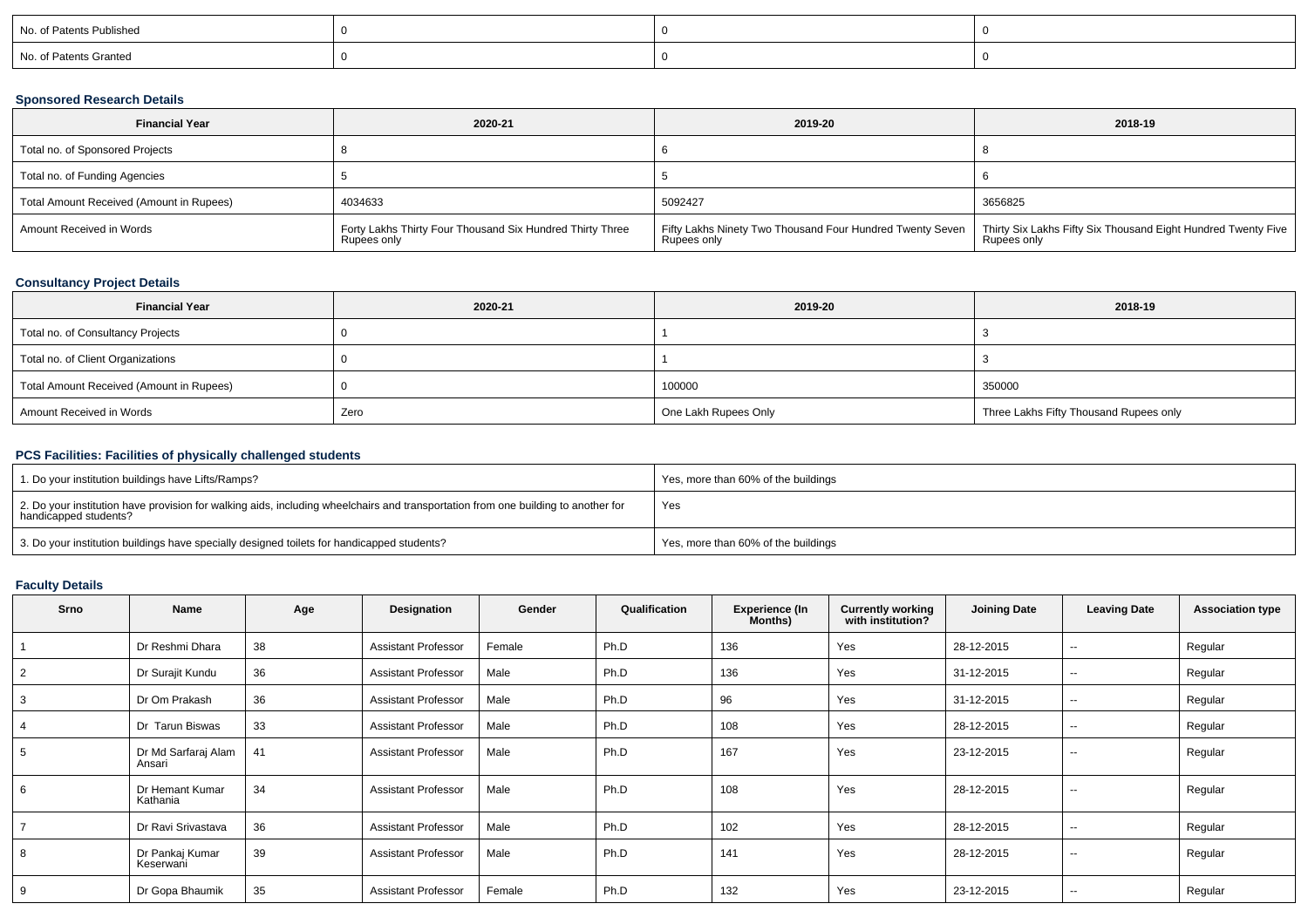| No. of Patents Published |  |  |
|--------------------------|--|--|
| No. of Patents Granted   |  |  |

## **Sponsored Research Details**

| <b>Financial Year</b>                    | 2020-21                                                                  | 2019-20     | 2018-19                                                                                                                                    |
|------------------------------------------|--------------------------------------------------------------------------|-------------|--------------------------------------------------------------------------------------------------------------------------------------------|
| Total no. of Sponsored Projects          |                                                                          |             |                                                                                                                                            |
| Total no. of Funding Agencies            |                                                                          |             |                                                                                                                                            |
| Total Amount Received (Amount in Rupees) | 4034633                                                                  | 5092427     | 3656825                                                                                                                                    |
| Amount Received in Words                 | Forty Lakhs Thirty Four Thousand Six Hundred Thirty Three<br>Rupees only | Rupees only | Fifty Lakhs Ninety Two Thousand Four Hundred Twenty Seven   Thirty Six Lakhs Fifty Six Thousand Eight Hundred Twenty Five  <br>Rupees only |

## **Consultancy Project Details**

| <b>Financial Year</b>                    | 2020-21 | 2019-20              | 2018-19                                |
|------------------------------------------|---------|----------------------|----------------------------------------|
| Total no. of Consultancy Projects        |         |                      |                                        |
| Total no. of Client Organizations        |         |                      |                                        |
| Total Amount Received (Amount in Rupees) |         | 100000               | 350000                                 |
| Amount Received in Words                 | Zero    | One Lakh Rupees Only | Three Lakhs Fifty Thousand Rupees only |

# **PCS Facilities: Facilities of physically challenged students**

| 1. Do your institution buildings have Lifts/Ramps?                                                                                                         | Yes, more than 60% of the buildings |
|------------------------------------------------------------------------------------------------------------------------------------------------------------|-------------------------------------|
| 2. Do your institution have provision for walking aids, including wheelchairs and transportation from one building to another for<br>handicapped students? | Yes                                 |
| 3. Do your institution buildings have specially designed toilets for handicapped students?                                                                 | Yes, more than 60% of the buildings |

# **Faculty Details**

| Srno | Name                          | Age | Designation                | Gender | Qualification | <b>Experience (In</b><br>Months) | <b>Currently working</b><br>with institution? | <b>Joining Date</b> | <b>Leaving Date</b>      | <b>Association type</b> |
|------|-------------------------------|-----|----------------------------|--------|---------------|----------------------------------|-----------------------------------------------|---------------------|--------------------------|-------------------------|
|      | Dr Reshmi Dhara               | 38  | <b>Assistant Professor</b> | Female | Ph.D          | 136                              | Yes                                           | 28-12-2015          | $\sim$                   | Regular                 |
|      | Dr Surajit Kundu              | 36  | <b>Assistant Professor</b> | Male   | Ph.D          | 136                              | Yes                                           | 31-12-2015          | $\sim$                   | Regular                 |
|      | Dr Om Prakash                 | 36  | <b>Assistant Professor</b> | Male   | Ph.D          | 96                               | Yes                                           | 31-12-2015          | $\sim$                   | Regular                 |
|      | Dr Tarun Biswas               | 33  | <b>Assistant Professor</b> | Male   | Ph.D          | 108                              | Yes                                           | 28-12-2015          | $\overline{\phantom{a}}$ | Regular                 |
| 5    | Dr Md Sarfaraj Alam<br>Ansari | 41  | Assistant Professor        | Male   | Ph.D          | 167                              | Yes                                           | 23-12-2015          | $\sim$                   | Regular                 |
| 6    | Dr Hemant Kumar<br>Kathania   | 34  | <b>Assistant Professor</b> | Male   | Ph.D          | 108                              | Yes                                           | 28-12-2015          | --                       | Regular                 |
|      | Dr Ravi Srivastava            | 36  | <b>Assistant Professor</b> | Male   | Ph.D          | 102                              | Yes                                           | 28-12-2015          | $\sim$                   | Regular                 |
| 8    | Dr Pankaj Kumar<br>Keserwani  | 39  | <b>Assistant Professor</b> | Male   | Ph.D          | 141                              | Yes                                           | 28-12-2015          | $\sim$                   | Regular                 |
| 9    | Dr Gopa Bhaumik               | 35  | <b>Assistant Professor</b> | Female | Ph.D          | 132                              | Yes                                           | 23-12-2015          | --                       | Regular                 |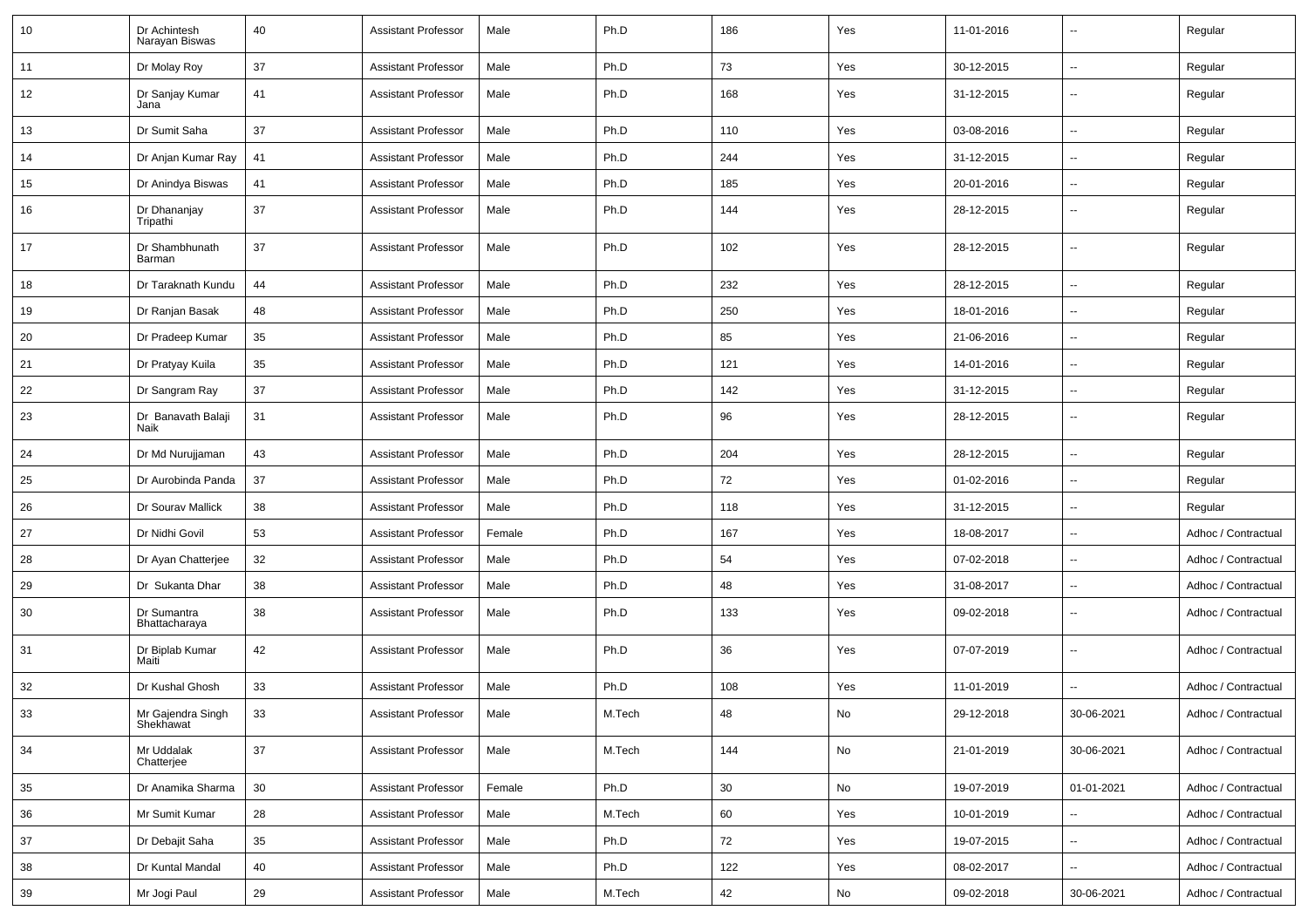| 10 | Dr Achintesh<br>Narayan Biswas | 40 | <b>Assistant Professor</b> | Male   | Ph.D   | 186 | Yes | 11-01-2016 | $\overline{\phantom{a}}$ | Regular             |
|----|--------------------------------|----|----------------------------|--------|--------|-----|-----|------------|--------------------------|---------------------|
| 11 | Dr Molay Roy                   | 37 | <b>Assistant Professor</b> | Male   | Ph.D   | 73  | Yes | 30-12-2015 | $\sim$                   | Regular             |
| 12 | Dr Sanjay Kumar<br>Jana        | 41 | <b>Assistant Professor</b> | Male   | Ph.D   | 168 | Yes | 31-12-2015 | н.                       | Regular             |
| 13 | Dr Sumit Saha                  | 37 | <b>Assistant Professor</b> | Male   | Ph.D   | 110 | Yes | 03-08-2016 | ⊷.                       | Regular             |
| 14 | Dr Anjan Kumar Ray             | 41 | <b>Assistant Professor</b> | Male   | Ph.D   | 244 | Yes | 31-12-2015 | $\overline{\phantom{a}}$ | Regular             |
| 15 | Dr Anindya Biswas              | 41 | <b>Assistant Professor</b> | Male   | Ph.D   | 185 | Yes | 20-01-2016 | -−                       | Regular             |
| 16 | Dr Dhananjay<br>Tripathi       | 37 | <b>Assistant Professor</b> | Male   | Ph.D   | 144 | Yes | 28-12-2015 |                          | Regular             |
| 17 | Dr Shambhunath<br>Barman       | 37 | <b>Assistant Professor</b> | Male   | Ph.D   | 102 | Yes | 28-12-2015 | --                       | Regular             |
| 18 | Dr Taraknath Kundu             | 44 | <b>Assistant Professor</b> | Male   | Ph.D   | 232 | Yes | 28-12-2015 | $\overline{a}$           | Regular             |
| 19 | Dr Ranjan Basak                | 48 | <b>Assistant Professor</b> | Male   | Ph.D   | 250 | Yes | 18-01-2016 | Ξ.                       | Regular             |
| 20 | Dr Pradeep Kumar               | 35 | <b>Assistant Professor</b> | Male   | Ph.D   | 85  | Yes | 21-06-2016 | $\sim$                   | Regular             |
| 21 | Dr Pratyay Kuila               | 35 | <b>Assistant Professor</b> | Male   | Ph.D   | 121 | Yes | 14-01-2016 | ⊷.                       | Regular             |
| 22 | Dr Sangram Ray                 | 37 | <b>Assistant Professor</b> | Male   | Ph.D   | 142 | Yes | 31-12-2015 | $\sim$                   | Regular             |
| 23 | Dr Banavath Balaji<br>Naik     | 31 | <b>Assistant Professor</b> | Male   | Ph.D   | 96  | Yes | 28-12-2015 | $\overline{\phantom{a}}$ | Regular             |
| 24 | Dr Md Nurujjaman               | 43 | <b>Assistant Professor</b> | Male   | Ph.D   | 204 | Yes | 28-12-2015 |                          | Regular             |
| 25 | Dr Aurobinda Panda             | 37 | <b>Assistant Professor</b> | Male   | Ph.D   | 72  | Yes | 01-02-2016 | --                       | Regular             |
| 26 | Dr Sourav Mallick              | 38 | <b>Assistant Professor</b> | Male   | Ph.D   | 118 | Yes | 31-12-2015 | $\overline{\phantom{a}}$ | Regular             |
| 27 | Dr Nidhi Govil                 | 53 | <b>Assistant Professor</b> | Female | Ph.D   | 167 | Yes | 18-08-2017 | $\overline{\phantom{a}}$ | Adhoc / Contractual |
| 28 | Dr Ayan Chatterjee             | 32 | <b>Assistant Professor</b> | Male   | Ph.D   | 54  | Yes | 07-02-2018 | ⊷.                       | Adhoc / Contractual |
| 29 | Dr Sukanta Dhar                | 38 | <b>Assistant Professor</b> | Male   | Ph.D   | 48  | Yes | 31-08-2017 | -−                       | Adhoc / Contractual |
| 30 | Dr Sumantra<br>Bhattacharaya   | 38 | <b>Assistant Professor</b> | Male   | Ph.D   | 133 | Yes | 09-02-2018 | --                       | Adhoc / Contractual |
| 31 | Dr Biplab Kumar<br>Maiti       | 42 | <b>Assistant Professor</b> | Male   | Ph.D   | 36  | Yes | 07-07-2019 | $\overline{\phantom{a}}$ | Adhoc / Contractual |
| 32 | Dr Kushal Ghosh                | 33 | <b>Assistant Professor</b> | Male   | Ph.D   | 108 | Yes | 11-01-2019 |                          | Adhoc / Contractual |
| 33 | Mr Gajendra Singh<br>Shekhawat | 33 | Assistant Professor        | Male   | M.Tech | 48  |     | 29-12-2018 | 30-06-2021               | Adhoc / Contractual |
| 34 | Mr Uddalak<br>Chatterjee       | 37 | <b>Assistant Professor</b> | Male   | M.Tech | 144 | No  | 21-01-2019 | 30-06-2021               | Adhoc / Contractual |
| 35 | Dr Anamika Sharma              | 30 | <b>Assistant Professor</b> | Female | Ph.D   | 30  | No  | 19-07-2019 | 01-01-2021               | Adhoc / Contractual |
| 36 | Mr Sumit Kumar                 | 28 | <b>Assistant Professor</b> | Male   | M.Tech | 60  | Yes | 10-01-2019 | Щ,                       | Adhoc / Contractual |
| 37 | Dr Debajit Saha                | 35 | <b>Assistant Professor</b> | Male   | Ph.D   | 72  | Yes | 19-07-2015 | Щ,                       | Adhoc / Contractual |
| 38 | Dr Kuntal Mandal               | 40 | <b>Assistant Professor</b> | Male   | Ph.D   | 122 | Yes | 08-02-2017 | $\overline{\phantom{a}}$ | Adhoc / Contractual |
| 39 | Mr Jogi Paul                   | 29 | <b>Assistant Professor</b> | Male   | M.Tech | 42  | No  | 09-02-2018 | 30-06-2021               | Adhoc / Contractual |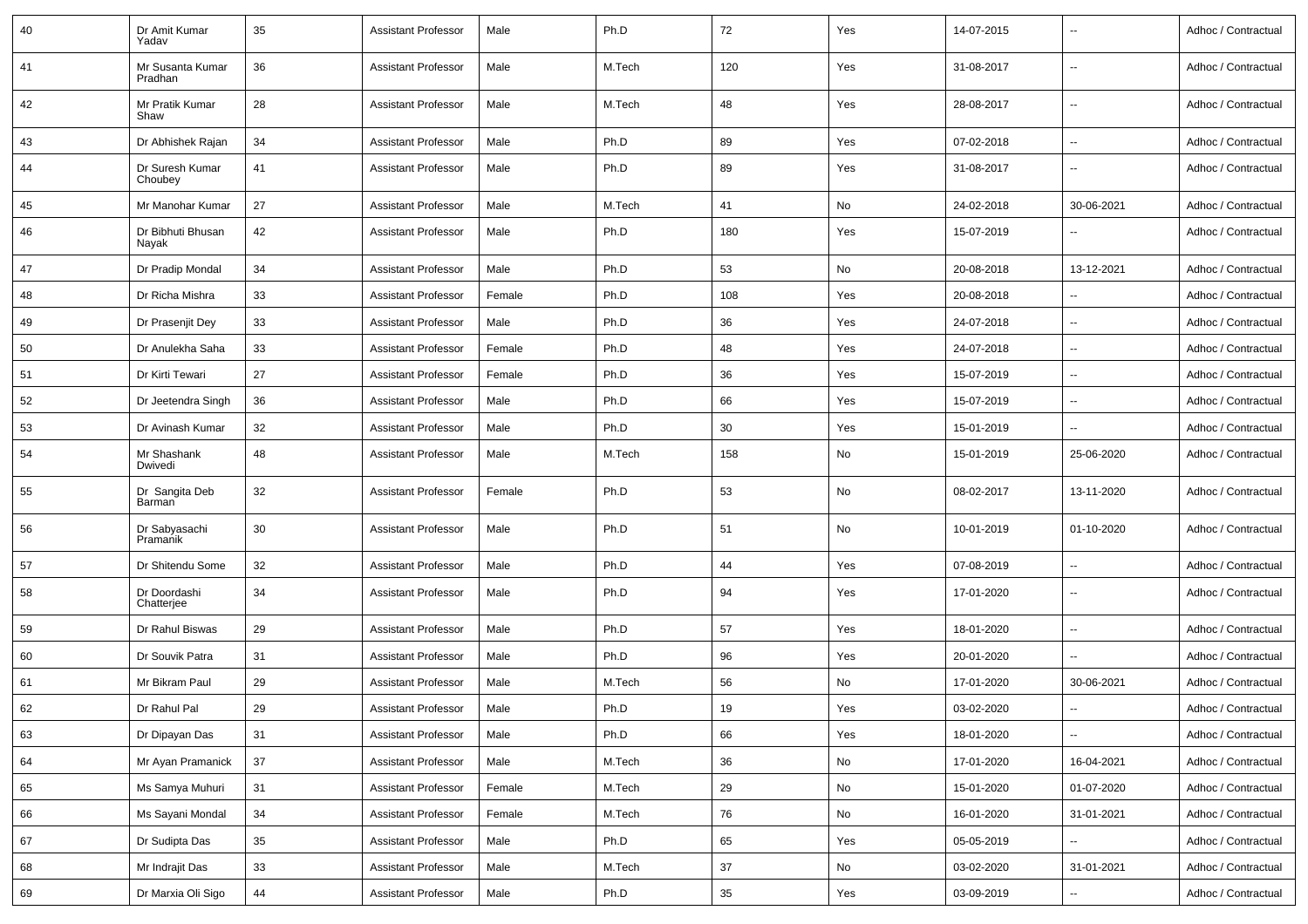| 40 | Dr Amit Kumar<br>Yadav      | 35 | <b>Assistant Professor</b> | Male   | Ph.D   | 72  | Yes | 14-07-2015 | $\overline{\phantom{a}}$ | Adhoc / Contractual |
|----|-----------------------------|----|----------------------------|--------|--------|-----|-----|------------|--------------------------|---------------------|
| 41 | Mr Susanta Kumar<br>Pradhan | 36 | <b>Assistant Professor</b> | Male   | M.Tech | 120 | Yes | 31-08-2017 | $\sim$                   | Adhoc / Contractual |
| 42 | Mr Pratik Kumar<br>Shaw     | 28 | <b>Assistant Professor</b> | Male   | M.Tech | 48  | Yes | 28-08-2017 | $\sim$                   | Adhoc / Contractual |
| 43 | Dr Abhishek Rajan           | 34 | <b>Assistant Professor</b> | Male   | Ph.D   | 89  | Yes | 07-02-2018 | $\sim$                   | Adhoc / Contractual |
| 44 | Dr Suresh Kumar<br>Choubey  | 41 | <b>Assistant Professor</b> | Male   | Ph.D   | 89  | Yes | 31-08-2017 | $\overline{\phantom{a}}$ | Adhoc / Contractual |
| 45 | Mr Manohar Kumar            | 27 | Assistant Professor        | Male   | M.Tech | 41  | No  | 24-02-2018 | 30-06-2021               | Adhoc / Contractual |
| 46 | Dr Bibhuti Bhusan<br>Nayak  | 42 | <b>Assistant Professor</b> | Male   | Ph.D   | 180 | Yes | 15-07-2019 | $\sim$                   | Adhoc / Contractual |
| 47 | Dr Pradip Mondal            | 34 | <b>Assistant Professor</b> | Male   | Ph.D   | 53  | No  | 20-08-2018 | 13-12-2021               | Adhoc / Contractual |
| 48 | Dr Richa Mishra             | 33 | Assistant Professor        | Female | Ph.D   | 108 | Yes | 20-08-2018 | $\overline{\phantom{a}}$ | Adhoc / Contractual |
| 49 | Dr Prasenjit Dey            | 33 | <b>Assistant Professor</b> | Male   | Ph.D   | 36  | Yes | 24-07-2018 | $\sim$                   | Adhoc / Contractual |
| 50 | Dr Anulekha Saha            | 33 | <b>Assistant Professor</b> | Female | Ph.D   | 48  | Yes | 24-07-2018 | $\sim$                   | Adhoc / Contractual |
| 51 | Dr Kirti Tewari             | 27 | <b>Assistant Professor</b> | Female | Ph.D   | 36  | Yes | 15-07-2019 | $\overline{\phantom{a}}$ | Adhoc / Contractual |
| 52 | Dr Jeetendra Singh          | 36 | <b>Assistant Professor</b> | Male   | Ph.D   | 66  | Yes | 15-07-2019 | $\overline{\phantom{a}}$ | Adhoc / Contractual |
| 53 | Dr Avinash Kumar            | 32 | <b>Assistant Professor</b> | Male   | Ph.D   | 30  | Yes | 15-01-2019 | $\sim$                   | Adhoc / Contractual |
| 54 | Mr Shashank<br>Dwivedi      | 48 | <b>Assistant Professor</b> | Male   | M.Tech | 158 | No  | 15-01-2019 | 25-06-2020               | Adhoc / Contractual |
| 55 | Dr Sangita Deb<br>Barman    | 32 | <b>Assistant Professor</b> | Female | Ph.D   | 53  | No  | 08-02-2017 | 13-11-2020               | Adhoc / Contractual |
| 56 | Dr Sabyasachi<br>Pramanik   | 30 | <b>Assistant Professor</b> | Male   | Ph.D   | 51  | No  | 10-01-2019 | 01-10-2020               | Adhoc / Contractual |
| 57 | Dr Shitendu Some            | 32 | <b>Assistant Professor</b> | Male   | Ph.D   | 44  | Yes | 07-08-2019 | $\overline{\phantom{a}}$ | Adhoc / Contractual |
| 58 | Dr Doordashi<br>Chatterjee  | 34 | <b>Assistant Professor</b> | Male   | Ph.D   | 94  | Yes | 17-01-2020 | $\sim$                   | Adhoc / Contractual |
| 59 | Dr Rahul Biswas             | 29 | Assistant Professor        | Male   | Ph.D   | 57  | Yes | 18-01-2020 | $\sim$                   | Adhoc / Contractual |
| 60 | Dr Souvik Patra             | 31 | <b>Assistant Professor</b> | Male   | Ph.D   | 96  | Yes | 20-01-2020 | $\ddotsc$                | Adhoc / Contractual |
| 61 | Mr Bikram Paul              | 29 | <b>Assistant Professor</b> | Male   | M.Tech | 56  | No  | 17-01-2020 | 30-06-2021               | Adhoc / Contractual |
| 62 | Dr Rahul Pal                | 29 | <b>Assistant Professor</b> | Male   | Ph.D   | 19  | Yes | 03-02-2020 | $\sim$                   | Adhoc / Contractual |
| 63 | Dr Dipayan Das              | 31 | <b>Assistant Professor</b> | Male   | Ph.D   | 66  | Yes | 18-01-2020 | $\sim$                   | Adhoc / Contractual |
| 64 | Mr Ayan Pramanick           | 37 | <b>Assistant Professor</b> | Male   | M.Tech | 36  | No  | 17-01-2020 | 16-04-2021               | Adhoc / Contractual |
| 65 | Ms Samya Muhuri             | 31 | <b>Assistant Professor</b> | Female | M.Tech | 29  | No  | 15-01-2020 | 01-07-2020               | Adhoc / Contractual |
| 66 | Ms Sayani Mondal            | 34 | <b>Assistant Professor</b> | Female | M.Tech | 76  | No  | 16-01-2020 | 31-01-2021               | Adhoc / Contractual |
| 67 | Dr Sudipta Das              | 35 | <b>Assistant Professor</b> | Male   | Ph.D   | 65  | Yes | 05-05-2019 |                          | Adhoc / Contractual |
| 68 | Mr Indrajit Das             | 33 | Assistant Professor        | Male   | M.Tech | 37  | No  | 03-02-2020 | 31-01-2021               | Adhoc / Contractual |
| 69 | Dr Marxia Oli Sigo          | 44 | <b>Assistant Professor</b> | Male   | Ph.D   | 35  | Yes | 03-09-2019 | $\sim$                   | Adhoc / Contractual |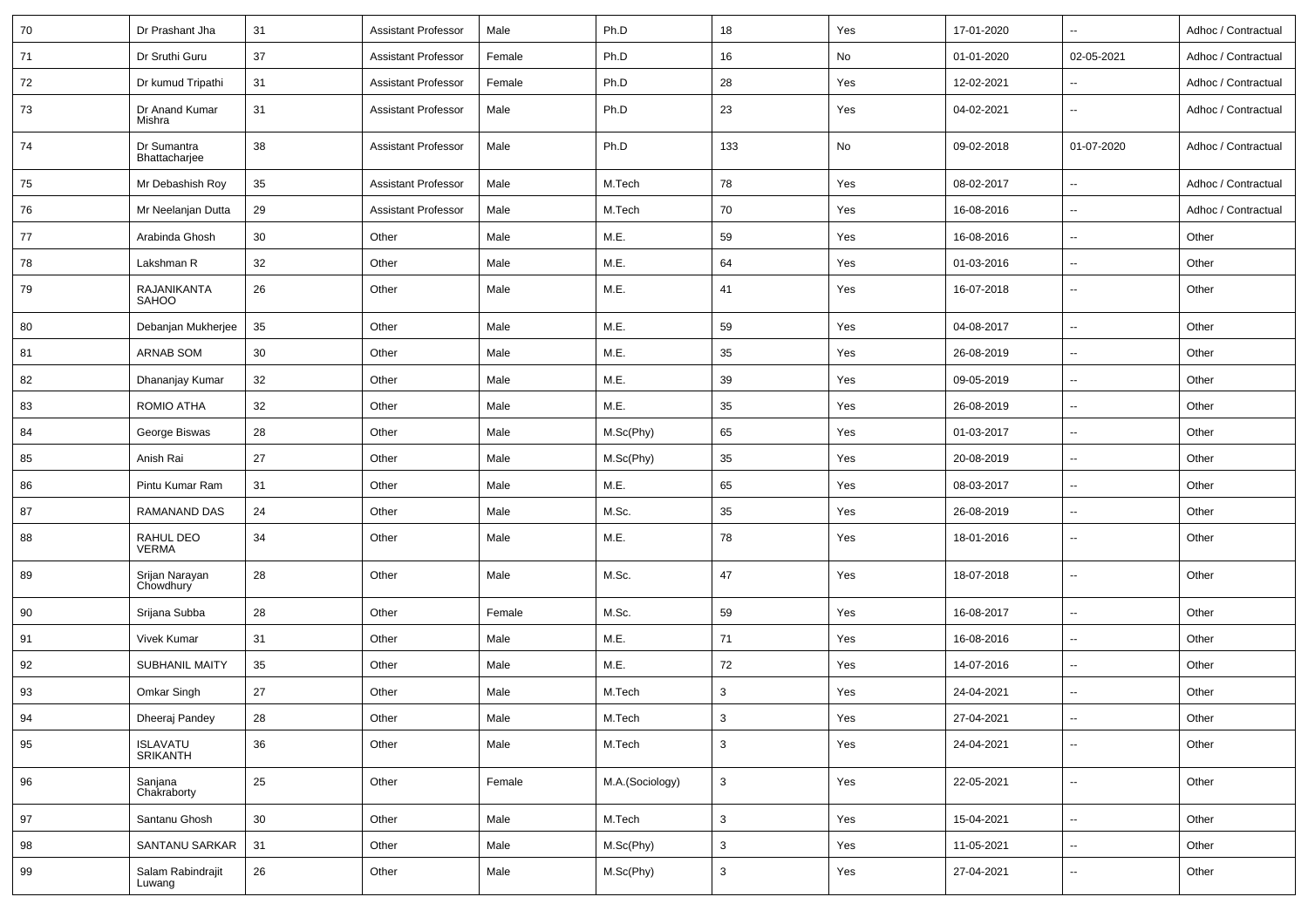| 70 | Dr Prashant Jha              | 31 | Assistant Professor        | Male   | Ph.D            | 18           | Yes | 17-01-2020 | $\overline{\phantom{a}}$ | Adhoc / Contractual |
|----|------------------------------|----|----------------------------|--------|-----------------|--------------|-----|------------|--------------------------|---------------------|
| 71 | Dr Sruthi Guru               | 37 | Assistant Professor        | Female | Ph.D            | 16           | No  | 01-01-2020 | 02-05-2021               | Adhoc / Contractual |
| 72 | Dr kumud Tripathi            | 31 | <b>Assistant Professor</b> | Female | Ph.D            | 28           | Yes | 12-02-2021 | $\overline{\phantom{a}}$ | Adhoc / Contractual |
| 73 | Dr Anand Kumar<br>Mishra     | 31 | <b>Assistant Professor</b> | Male   | Ph.D            | 23           | Yes | 04-02-2021 | $\overline{\phantom{a}}$ | Adhoc / Contractual |
| 74 | Dr Sumantra<br>Bhattacharjee | 38 | <b>Assistant Professor</b> | Male   | Ph.D            | 133          | No  | 09-02-2018 | 01-07-2020               | Adhoc / Contractual |
| 75 | Mr Debashish Roy             | 35 | <b>Assistant Professor</b> | Male   | M.Tech          | 78           | Yes | 08-02-2017 | $\overline{\phantom{a}}$ | Adhoc / Contractual |
| 76 | Mr Neelanjan Dutta           | 29 | <b>Assistant Professor</b> | Male   | M.Tech          | 70           | Yes | 16-08-2016 | --                       | Adhoc / Contractual |
| 77 | Arabinda Ghosh               | 30 | Other                      | Male   | M.E.            | 59           | Yes | 16-08-2016 | $\sim$                   | Other               |
| 78 | Lakshman R                   | 32 | Other                      | Male   | M.E.            | 64           | Yes | 01-03-2016 | $\sim$                   | Other               |
| 79 | RAJANIKANTA<br><b>SAHOO</b>  | 26 | Other                      | Male   | M.E.            | 41           | Yes | 16-07-2018 | $\overline{\phantom{a}}$ | Other               |
| 80 | Debanjan Mukherjee           | 35 | Other                      | Male   | M.E.            | 59           | Yes | 04-08-2017 | $\overline{\phantom{a}}$ | Other               |
| 81 | ARNAB SOM                    | 30 | Other                      | Male   | M.E.            | 35           | Yes | 26-08-2019 | $\sim$                   | Other               |
| 82 | Dhananjay Kumar              | 32 | Other                      | Male   | M.E.            | 39           | Yes | 09-05-2019 | $\overline{\phantom{a}}$ | Other               |
| 83 | ROMIO ATHA                   | 32 | Other                      | Male   | M.E.            | 35           | Yes | 26-08-2019 | $\overline{\phantom{a}}$ | Other               |
| 84 | George Biswas                | 28 | Other                      | Male   | M.Sc(Phy)       | 65           | Yes | 01-03-2017 | $\overline{\phantom{a}}$ | Other               |
| 85 | Anish Rai                    | 27 | Other                      | Male   | M.Sc(Phy)       | 35           | Yes | 20-08-2019 | $\overline{\phantom{a}}$ | Other               |
| 86 | Pintu Kumar Ram              | 31 | Other                      | Male   | M.E.            | 65           | Yes | 08-03-2017 | $\sim$                   | Other               |
| 87 | RAMANAND DAS                 | 24 | Other                      | Male   | M.Sc.           | 35           | Yes | 26-08-2019 | $\sim$                   | Other               |
| 88 | RAHUL DEO<br><b>VERMA</b>    | 34 | Other                      | Male   | M.E.            | 78           | Yes | 18-01-2016 | $\overline{\phantom{a}}$ | Other               |
| 89 | Srijan Narayan<br>Chowdhury  | 28 | Other                      | Male   | M.Sc.           | 47           | Yes | 18-07-2018 | $\sim$                   | Other               |
| 90 | Srijana Subba                | 28 | Other                      | Female | M.Sc.           | 59           | Yes | 16-08-2017 | $\overline{\phantom{a}}$ | Other               |
| 91 | Vivek Kumar                  | 31 | Other                      | Male   | M.E.            | 71           | Yes | 16-08-2016 | $\sim$                   | Other               |
| 92 | <b>SUBHANIL MAITY</b>        | 35 | Other                      | Male   | M.E.            | 72           | Yes | 14-07-2016 | $\sim$                   | Other               |
| 93 | Omkar Singh                  | 27 | Other                      | Male   | M.Tech          | $\mathbf{3}$ | Yes | 24-04-2021 | $\sim$                   | Other               |
| 94 | Dheeraj Pandey               | 28 | Other                      | Male   | M.Tech          | 3            | Yes | 27-04-2021 | $\overline{\phantom{a}}$ | Other               |
| 95 | <b>ISLAVATU<br/>SRIKANTH</b> | 36 | Other                      | Male   | M.Tech          | $\mathbf{3}$ | Yes | 24-04-2021 | $\overline{\phantom{a}}$ | Other               |
| 96 | Sanjana<br>Chakraborty       | 25 | Other                      | Female | M.A.(Sociology) | $\mathbf{3}$ | Yes | 22-05-2021 | $\sim$                   | Other               |
| 97 | Santanu Ghosh                | 30 | Other                      | Male   | M.Tech          | $\mathbf{3}$ | Yes | 15-04-2021 | $\overline{\phantom{a}}$ | Other               |
| 98 | SANTANU SARKAR               | 31 | Other                      | Male   | M.Sc(Phy)       | $\mathbf{3}$ | Yes | 11-05-2021 | $\sim$                   | Other               |
| 99 | Salam Rabindrajit<br>Luwang  | 26 | Other                      | Male   | M.Sc(Phy)       | $\mathbf{3}$ | Yes | 27-04-2021 | $\overline{\phantom{a}}$ | Other               |